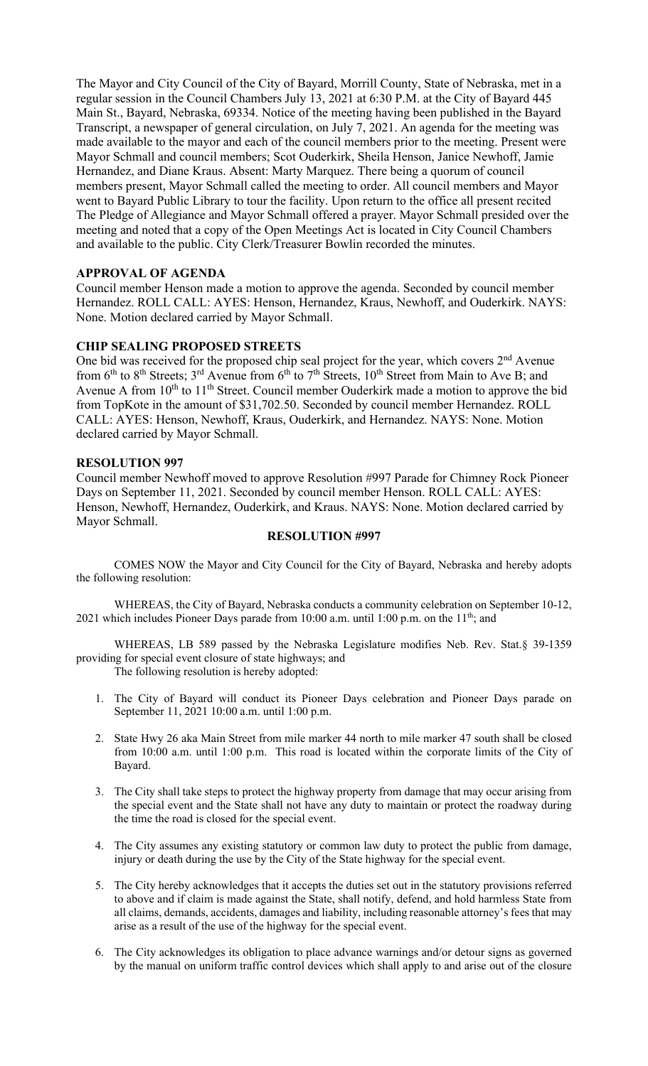The Mayor and City Council of the City of Bayard, Morrill County, State of Nebraska, met in a regular session in the Council Chambers July 13, 2021 at 6:30 P.M. at the City of Bayard 445 Main St., Bayard, Nebraska, 69334. Notice of the meeting having been published in the Bayard Transcript, a newspaper of general circulation, on July 7, 2021. An agenda for the meeting was made available to the mayor and each of the council members prior to the meeting. Present were Mayor Schmall and council members; Scot Ouderkirk, Sheila Henson, Janice Newhoff, Jamie Hernandez, and Diane Kraus. Absent: Marty Marquez. There being a quorum of council members present, Mayor Schmall called the meeting to order. All council members and Mayor went to Bayard Public Library to tour the facility. Upon return to the office all present recited The Pledge of Allegiance and Mayor Schmall offered a prayer. Mayor Schmall presided over the meeting and noted that a copy of the Open Meetings Act is located in City Council Chambers and available to the public. City Clerk/Treasurer Bowlin recorded the minutes.

#### **APPROVAL OF AGENDA**

Council member Henson made a motion to approve the agenda. Seconded by council member Hernandez. ROLL CALL: AYES: Henson, Hernandez, Kraus, Newhoff, and Ouderkirk. NAYS: None. Motion declared carried by Mayor Schmall.

## **CHIP SEALING PROPOSED STREETS**

One bid was received for the proposed chip seal project for the year, which covers 2<sup>nd</sup> Avenue from  $6<sup>th</sup>$  to  $8<sup>th</sup>$  Streets;  $3<sup>rd</sup>$  Avenue from  $6<sup>th</sup>$  to  $7<sup>th</sup>$  Streets,  $10<sup>th</sup>$  Street from Main to Ave B; and Avenue A from  $10^{th}$  to  $11^{th}$  Street. Council member Ouderkirk made a motion to approve the bid from TopKote in the amount of \$31,702.50. Seconded by council member Hernandez. ROLL CALL: AYES: Henson, Newhoff, Kraus, Ouderkirk, and Hernandez. NAYS: None. Motion declared carried by Mayor Schmall.

#### **RESOLUTION 997**

Council member Newhoff moved to approve Resolution #997 Parade for Chimney Rock Pioneer Days on September 11, 2021. Seconded by council member Henson. ROLL CALL: AYES: Henson, Newhoff, Hernandez, Ouderkirk, and Kraus. NAYS: None. Motion declared carried by Mayor Schmall.

#### **RESOLUTION #997**

COMES NOW the Mayor and City Council for the City of Bayard, Nebraska and hereby adopts the following resolution:

WHEREAS, the City of Bayard, Nebraska conducts a community celebration on September 10-12, 2021 which includes Pioneer Days parade from 10:00 a.m. until 1:00 p.m. on the  $11<sup>th</sup>$ ; and

WHEREAS, LB 589 passed by the Nebraska Legislature modifies Neb. Rev. Stat.§ 39-1359 providing for special event closure of state highways; and The following resolution is hereby adopted:

- 1. The City of Bayard will conduct its Pioneer Days celebration and Pioneer Days parade on September 11, 2021 10:00 a.m. until 1:00 p.m.
- 2. State Hwy 26 aka Main Street from mile marker 44 north to mile marker 47 south shall be closed from 10:00 a.m. until 1:00 p.m. This road is located within the corporate limits of the City of Bayard.
- 3. The City shall take steps to protect the highway property from damage that may occur arising from the special event and the State shall not have any duty to maintain or protect the roadway during the time the road is closed for the special event.
- 4. The City assumes any existing statutory or common law duty to protect the public from damage, injury or death during the use by the City of the State highway for the special event.
- 5. The City hereby acknowledges that it accepts the duties set out in the statutory provisions referred to above and if claim is made against the State, shall notify, defend, and hold harmless State from all claims, demands, accidents, damages and liability, including reasonable attorney's fees that may arise as a result of the use of the highway for the special event.
- 6. The City acknowledges its obligation to place advance warnings and/or detour signs as governed by the manual on uniform traffic control devices which shall apply to and arise out of the closure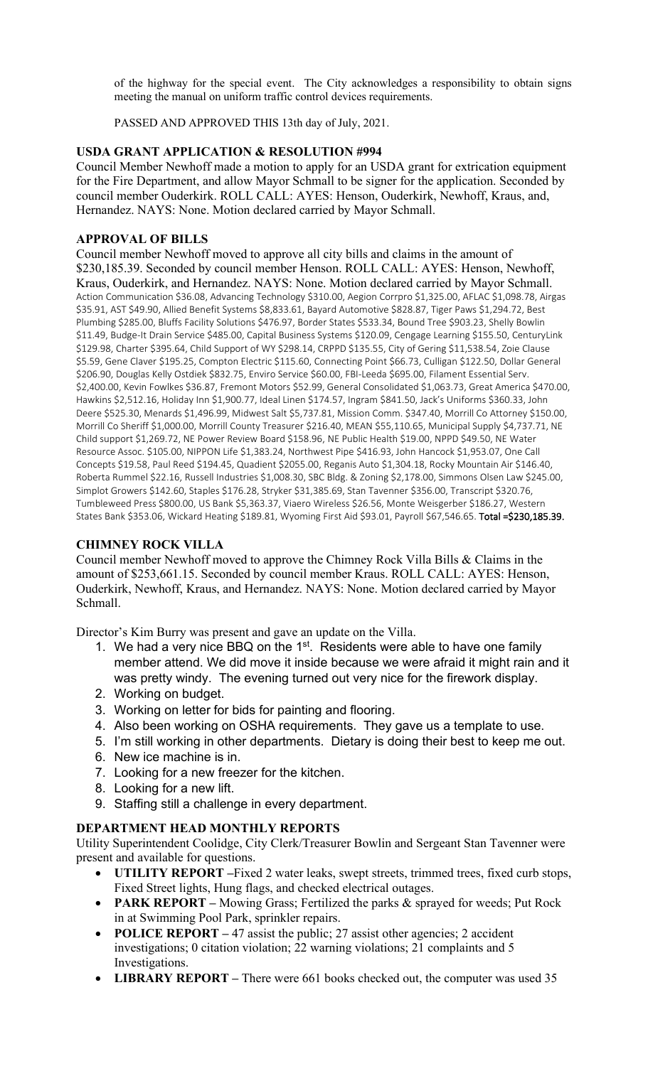of the highway for the special event. The City acknowledges a responsibility to obtain signs meeting the manual on uniform traffic control devices requirements.

PASSED AND APPROVED THIS 13th day of July, 2021.

## **USDA GRANT APPLICATION & RESOLUTION #994**

Council Member Newhoff made a motion to apply for an USDA grant for extrication equipment for the Fire Department, and allow Mayor Schmall to be signer for the application. Seconded by council member Ouderkirk. ROLL CALL: AYES: Henson, Ouderkirk, Newhoff, Kraus, and, Hernandez. NAYS: None. Motion declared carried by Mayor Schmall.

# **APPROVAL OF BILLS**

Council member Newhoff moved to approve all city bills and claims in the amount of \$230,185.39. Seconded by council member Henson. ROLL CALL: AYES: Henson, Newhoff, Kraus, Ouderkirk, and Hernandez. NAYS: None. Motion declared carried by Mayor Schmall. Action Communication \$36.08, Advancing Technology \$310.00, Aegion Corrpro \$1,325.00, AFLAC \$1,098.78, Airgas \$35.91, AST \$49.90, Allied Benefit Systems \$8,833.61, Bayard Automotive \$828.87, Tiger Paws \$1,294.72, Best Plumbing \$285.00, Bluffs Facility Solutions \$476.97, Border States \$533.34, Bound Tree \$903.23, Shelly Bowlin \$11.49, Budge-It Drain Service \$485.00, Capital Business Systems \$120.09, Cengage Learning \$155.50, CenturyLink \$129.98, Charter \$395.64, Child Support of WY \$298.14, CRPPD \$135.55, City of Gering \$11,538.54, Zoie Clause \$5.59, Gene Claver \$195.25, Compton Electric \$115.60, Connecting Point \$66.73, Culligan \$122.50, Dollar General \$206.90, Douglas Kelly Ostdiek \$832.75, Enviro Service \$60.00, FBI-Leeda \$695.00, Filament Essential Serv. \$2,400.00, Kevin Fowlkes \$36.87, Fremont Motors \$52.99, General Consolidated \$1,063.73, Great America \$470.00, Hawkins \$2,512.16, Holiday Inn \$1,900.77, Ideal Linen \$174.57, Ingram \$841.50, Jack's Uniforms \$360.33, John Deere \$525.30, Menards \$1,496.99, Midwest Salt \$5,737.81, Mission Comm. \$347.40, Morrill Co Attorney \$150.00, Morrill Co Sheriff \$1,000.00, Morrill County Treasurer \$216.40, MEAN \$55,110.65, Municipal Supply \$4,737.71, NE Child support \$1,269.72, NE Power Review Board \$158.96, NE Public Health \$19.00, NPPD \$49.50, NE Water Resource Assoc. \$105.00, NIPPON Life \$1,383.24, Northwest Pipe \$416.93, John Hancock \$1,953.07, One Call Concepts \$19.58, Paul Reed \$194.45, Quadient \$2055.00, Reganis Auto \$1,304.18, Rocky Mountain Air \$146.40, Roberta Rummel \$22.16, Russell Industries \$1,008.30, SBC Bldg. & Zoning \$2,178.00, Simmons Olsen Law \$245.00, Simplot Growers \$142.60, Staples \$176.28, Stryker \$31,385.69, Stan Tavenner \$356.00, Transcript \$320.76, Tumbleweed Press \$800.00, US Bank \$5,363.37, Viaero Wireless \$26.56, Monte Weisgerber \$186.27, Western States Bank \$353.06, Wickard Heating \$189.81, Wyoming First Aid \$93.01, Payroll \$67,546.65. Total =\$230,185.39.

# **CHIMNEY ROCK VILLA**

Council member Newhoff moved to approve the Chimney Rock Villa Bills & Claims in the amount of \$253,661.15. Seconded by council member Kraus. ROLL CALL: AYES: Henson, Ouderkirk, Newhoff, Kraus, and Hernandez. NAYS: None. Motion declared carried by Mayor Schmall.

Director's Kim Burry was present and gave an update on the Villa.

- 1. We had a very nice BBQ on the 1<sup>st</sup>. Residents were able to have one family member attend. We did move it inside because we were afraid it might rain and it was pretty windy. The evening turned out very nice for the firework display.
- 2. Working on budget.
- 3. Working on letter for bids for painting and flooring.
- 4. Also been working on OSHA requirements. They gave us a template to use.
- 5. I'm still working in other departments. Dietary is doing their best to keep me out.
- 6. New ice machine is in.
- 7. Looking for a new freezer for the kitchen.
- 8. Looking for a new lift.
- 9. Staffing still a challenge in every department.

### **DEPARTMENT HEAD MONTHLY REPORTS**

Utility Superintendent Coolidge, City Clerk/Treasurer Bowlin and Sergeant Stan Tavenner were present and available for questions.

- **UTILITY REPORT –**Fixed 2 water leaks, swept streets, trimmed trees, fixed curb stops, Fixed Street lights, Hung flags, and checked electrical outages.
- **PARK REPORT –** Mowing Grass; Fertilized the parks & sprayed for weeds; Put Rock in at Swimming Pool Park, sprinkler repairs.
- **POLICE REPORT** 47 assist the public; 27 assist other agencies; 2 accident investigations; 0 citation violation; 22 warning violations; 21 complaints and 5 Investigations.
- **LIBRARY REPORT –** There were 661 books checked out, the computer was used 35